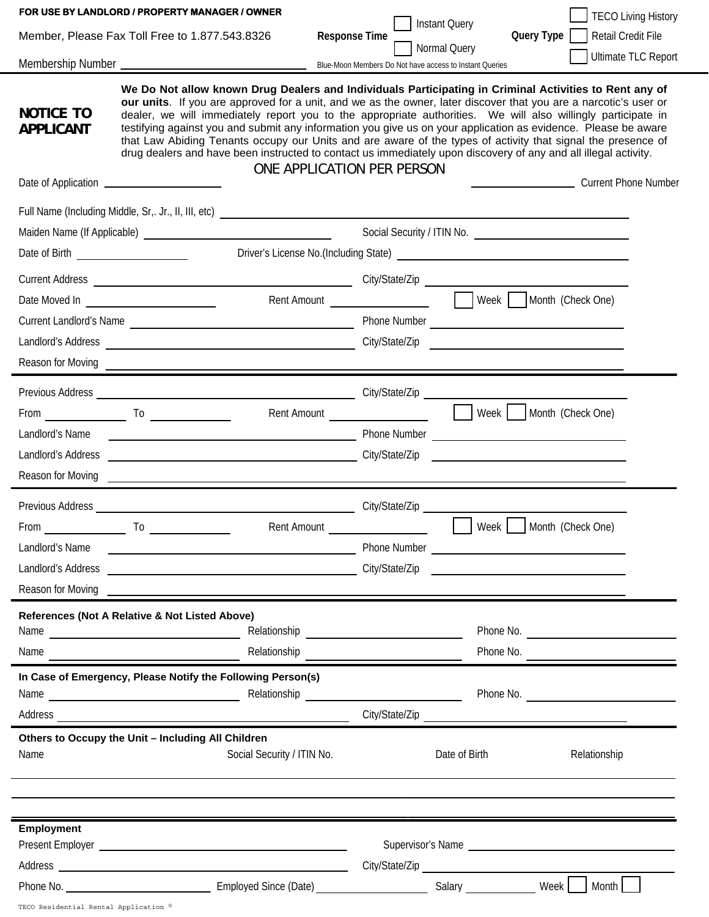|                                                | FOR USE BY LANDLORD / PROPERTY MANAGER / OWNER                                                                                                                                                                                                                                                                                                                                                                                                                                                                                                                                                                                                                                                                                |                            |                      |                                      |                                           | <b>TECO Living History</b> |
|------------------------------------------------|-------------------------------------------------------------------------------------------------------------------------------------------------------------------------------------------------------------------------------------------------------------------------------------------------------------------------------------------------------------------------------------------------------------------------------------------------------------------------------------------------------------------------------------------------------------------------------------------------------------------------------------------------------------------------------------------------------------------------------|----------------------------|----------------------|--------------------------------------|-------------------------------------------|----------------------------|
| Member, Please Fax Toll Free to 1.877.543.8326 |                                                                                                                                                                                                                                                                                                                                                                                                                                                                                                                                                                                                                                                                                                                               |                            | <b>Response Time</b> | <b>Instant Query</b><br>Normal Query | Query Type   Retail Credit File           | <b>Ultimate TLC Report</b> |
|                                                |                                                                                                                                                                                                                                                                                                                                                                                                                                                                                                                                                                                                                                                                                                                               |                            |                      |                                      |                                           |                            |
| <b>NOTICE TO</b><br><b>APPLICANT</b>           | We Do Not allow known Drug Dealers and Individuals Participating in Criminal Activities to Rent any of<br>our units. If you are approved for a unit, and we as the owner, later discover that you are a narcotic's user or<br>dealer, we will immediately report you to the appropriate authorities. We will also willingly participate in<br>testifying against you and submit any information you give us on your application as evidence. Please be aware<br>that Law Abiding Tenants occupy our Units and are aware of the types of activity that signal the presence of<br>drug dealers and have been instructed to contact us immediately upon discovery of any and all illegal activity.<br>ONE APPLICATION PER PERSON |                            |                      |                                      |                                           |                            |
|                                                |                                                                                                                                                                                                                                                                                                                                                                                                                                                                                                                                                                                                                                                                                                                               |                            |                      |                                      | Current Phone Number                      |                            |
|                                                |                                                                                                                                                                                                                                                                                                                                                                                                                                                                                                                                                                                                                                                                                                                               |                            |                      |                                      |                                           |                            |
|                                                |                                                                                                                                                                                                                                                                                                                                                                                                                                                                                                                                                                                                                                                                                                                               |                            |                      |                                      |                                           |                            |
|                                                |                                                                                                                                                                                                                                                                                                                                                                                                                                                                                                                                                                                                                                                                                                                               |                            |                      |                                      |                                           |                            |
|                                                |                                                                                                                                                                                                                                                                                                                                                                                                                                                                                                                                                                                                                                                                                                                               |                            |                      |                                      |                                           |                            |
|                                                | Date Moved In _________________________                                                                                                                                                                                                                                                                                                                                                                                                                                                                                                                                                                                                                                                                                       |                            |                      |                                      | Rent Amount <b>Meek</b> Month (Check One) |                            |
|                                                |                                                                                                                                                                                                                                                                                                                                                                                                                                                                                                                                                                                                                                                                                                                               |                            |                      |                                      |                                           |                            |
|                                                |                                                                                                                                                                                                                                                                                                                                                                                                                                                                                                                                                                                                                                                                                                                               |                            |                      |                                      |                                           |                            |
|                                                | Reason for Moving <u>experience</u> and the contract of the contract of the contract of the contract of the contract of the contract of the contract of the contract of the contract of the contract of the contract of the contrac                                                                                                                                                                                                                                                                                                                                                                                                                                                                                           |                            |                      |                                      |                                           |                            |
|                                                |                                                                                                                                                                                                                                                                                                                                                                                                                                                                                                                                                                                                                                                                                                                               |                            |                      |                                      |                                           |                            |
|                                                | From $\qquad \qquad$ To $\qquad \qquad$                                                                                                                                                                                                                                                                                                                                                                                                                                                                                                                                                                                                                                                                                       |                            |                      |                                      |                                           |                            |
| Landlord's Name                                |                                                                                                                                                                                                                                                                                                                                                                                                                                                                                                                                                                                                                                                                                                                               |                            |                      |                                      |                                           |                            |
|                                                |                                                                                                                                                                                                                                                                                                                                                                                                                                                                                                                                                                                                                                                                                                                               |                            |                      |                                      |                                           |                            |
|                                                | Reason for Moving <b>Contract Contract Contract Contract Contract Contract Contract Contract Contract Contract Contract Contract Contract Contract Contract Contract Contract Contract Contract Contract Contract Contract Contr</b>                                                                                                                                                                                                                                                                                                                                                                                                                                                                                          |                            |                      |                                      |                                           |                            |
|                                                |                                                                                                                                                                                                                                                                                                                                                                                                                                                                                                                                                                                                                                                                                                                               |                            |                      |                                      |                                           |                            |
|                                                |                                                                                                                                                                                                                                                                                                                                                                                                                                                                                                                                                                                                                                                                                                                               |                            |                      |                                      |                                           |                            |
| $\overline{\phantom{a}}$ To<br>From            |                                                                                                                                                                                                                                                                                                                                                                                                                                                                                                                                                                                                                                                                                                                               |                            |                      |                                      |                                           |                            |
| Landlord's Name                                | <u>Note that the contract of the contract of the contract of the contract of the contract of the contract of the contract of the contract of the contract of the contract of the contract of the contract of the contract of the</u>                                                                                                                                                                                                                                                                                                                                                                                                                                                                                          |                            |                      |                                      |                                           |                            |
| Reason for Moving                              |                                                                                                                                                                                                                                                                                                                                                                                                                                                                                                                                                                                                                                                                                                                               |                            |                      |                                      |                                           |                            |
|                                                |                                                                                                                                                                                                                                                                                                                                                                                                                                                                                                                                                                                                                                                                                                                               |                            |                      |                                      |                                           |                            |
|                                                | References (Not A Relative & Not Listed Above)                                                                                                                                                                                                                                                                                                                                                                                                                                                                                                                                                                                                                                                                                |                            |                      |                                      |                                           |                            |
|                                                |                                                                                                                                                                                                                                                                                                                                                                                                                                                                                                                                                                                                                                                                                                                               | Relationship               |                      |                                      | Phone No.                                 |                            |
|                                                | In Case of Emergency, Please Notify the Following Person(s)                                                                                                                                                                                                                                                                                                                                                                                                                                                                                                                                                                                                                                                                   |                            |                      |                                      |                                           |                            |
|                                                |                                                                                                                                                                                                                                                                                                                                                                                                                                                                                                                                                                                                                                                                                                                               |                            |                      |                                      | Phone No.                                 |                            |
|                                                |                                                                                                                                                                                                                                                                                                                                                                                                                                                                                                                                                                                                                                                                                                                               |                            |                      |                                      | City/State/Zip                            |                            |
|                                                | Others to Occupy the Unit - Including All Children                                                                                                                                                                                                                                                                                                                                                                                                                                                                                                                                                                                                                                                                            |                            |                      |                                      |                                           |                            |
| Name                                           |                                                                                                                                                                                                                                                                                                                                                                                                                                                                                                                                                                                                                                                                                                                               | Social Security / ITIN No. |                      | Date of Birth                        |                                           | Relationship               |
|                                                |                                                                                                                                                                                                                                                                                                                                                                                                                                                                                                                                                                                                                                                                                                                               |                            |                      |                                      |                                           |                            |
| <b>Employment</b>                              |                                                                                                                                                                                                                                                                                                                                                                                                                                                                                                                                                                                                                                                                                                                               |                            |                      |                                      |                                           |                            |
|                                                |                                                                                                                                                                                                                                                                                                                                                                                                                                                                                                                                                                                                                                                                                                                               |                            |                      |                                      | Supervisor's Name                         |                            |
|                                                |                                                                                                                                                                                                                                                                                                                                                                                                                                                                                                                                                                                                                                                                                                                               |                            |                      |                                      |                                           |                            |
|                                                |                                                                                                                                                                                                                                                                                                                                                                                                                                                                                                                                                                                                                                                                                                                               |                            |                      |                                      |                                           |                            |
|                                                |                                                                                                                                                                                                                                                                                                                                                                                                                                                                                                                                                                                                                                                                                                                               |                            |                      |                                      |                                           |                            |

TECO Residential Rental Application ©